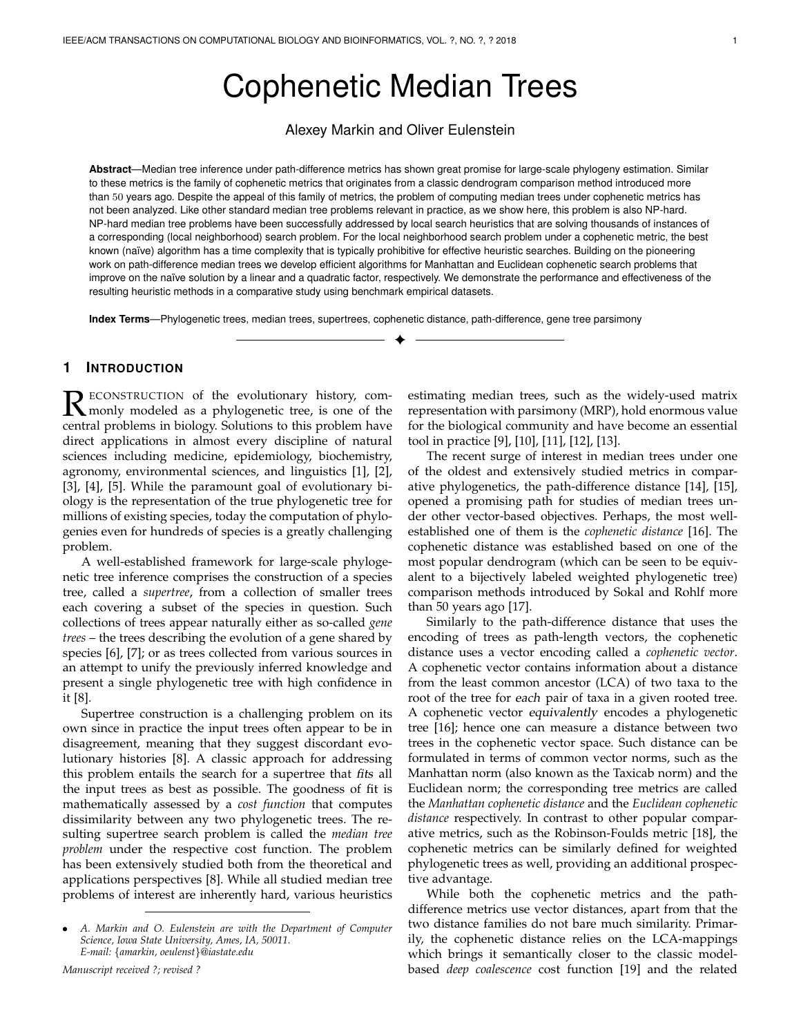# Cophenetic Median Trees

Alexey Markin and Oliver Eulenstein

**Abstract**—Median tree inference under path-difference metrics has shown great promise for large-scale phylogeny estimation. Similar to these metrics is the family of cophenetic metrics that originates from a classic dendrogram comparison method introduced more than 50 years ago. Despite the appeal of this family of metrics, the problem of computing median trees under cophenetic metrics has not been analyzed. Like other standard median tree problems relevant in practice, as we show here, this problem is also NP-hard. NP-hard median tree problems have been successfully addressed by local search heuristics that are solving thousands of instances of a corresponding (local neighborhood) search problem. For the local neighborhood search problem under a cophenetic metric, the best known (na¨ıve) algorithm has a time complexity that is typically prohibitive for effective heuristic searches. Building on the pioneering work on path-difference median trees we develop efficient algorithms for Manhattan and Euclidean cophenetic search problems that improve on the naïve solution by a linear and a quadratic factor, respectively. We demonstrate the performance and effectiveness of the resulting heuristic methods in a comparative study using benchmark empirical datasets.

✦

**Index Terms**—Phylogenetic trees, median trees, supertrees, cophenetic distance, path-difference, gene tree parsimony

## **1 INTRODUCTION**

**RECONSTRUCTION** of the evolutionary history, com-<br>
monly modeled as a phylogenetic tree, is one of the<br>
control problems in biology Solutions to this problem baye monly modeled as a phylogenetic tree, is one of the central problems in biology. Solutions to this problem have direct applications in almost every discipline of natural sciences including medicine, epidemiology, biochemistry, agronomy, environmental sciences, and linguistics [1], [2], [3], [4], [5]. While the paramount goal of evolutionary biology is the representation of the true phylogenetic tree for millions of existing species, today the computation of phylogenies even for hundreds of species is a greatly challenging problem.

A well-established framework for large-scale phylogenetic tree inference comprises the construction of a species tree, called a *supertree*, from a collection of smaller trees each covering a subset of the species in question. Such collections of trees appear naturally either as so-called *gene trees* – the trees describing the evolution of a gene shared by species [6], [7]; or as trees collected from various sources in an attempt to unify the previously inferred knowledge and present a single phylogenetic tree with high confidence in it [8].

Supertree construction is a challenging problem on its own since in practice the input trees often appear to be in disagreement, meaning that they suggest discordant evolutionary histories [8]. A classic approach for addressing this problem entails the search for a supertree that fits all the input trees as best as possible. The goodness of fit is mathematically assessed by a *cost function* that computes dissimilarity between any two phylogenetic trees. The resulting supertree search problem is called the *median tree problem* under the respective cost function. The problem has been extensively studied both from the theoretical and applications perspectives [8]. While all studied median tree problems of interest are inherently hard, various heuristics

estimating median trees, such as the widely-used matrix representation with parsimony (MRP), hold enormous value for the biological community and have become an essential tool in practice [9], [10], [11], [12], [13].

The recent surge of interest in median trees under one of the oldest and extensively studied metrics in comparative phylogenetics, the path-difference distance [14], [15], opened a promising path for studies of median trees under other vector-based objectives. Perhaps, the most wellestablished one of them is the *cophenetic distance* [16]. The cophenetic distance was established based on one of the most popular dendrogram (which can be seen to be equivalent to a bijectively labeled weighted phylogenetic tree) comparison methods introduced by Sokal and Rohlf more than 50 years ago [17].

Similarly to the path-difference distance that uses the encoding of trees as path-length vectors, the cophenetic distance uses a vector encoding called a *cophenetic vector*. A cophenetic vector contains information about a distance from the least common ancestor (LCA) of two taxa to the root of the tree for each pair of taxa in a given rooted tree. A cophenetic vector equivalently encodes a phylogenetic tree [16]; hence one can measure a distance between two trees in the cophenetic vector space. Such distance can be formulated in terms of common vector norms, such as the Manhattan norm (also known as the Taxicab norm) and the Euclidean norm; the corresponding tree metrics are called the *Manhattan cophenetic distance* and the *Euclidean cophenetic distance* respectively. In contrast to other popular comparative metrics, such as the Robinson-Foulds metric [18], the cophenetic metrics can be similarly defined for weighted phylogenetic trees as well, providing an additional prospective advantage.

While both the cophenetic metrics and the pathdifference metrics use vector distances, apart from that the two distance families do not bare much similarity. Primarily, the cophenetic distance relies on the LCA-mappings which brings it semantically closer to the classic modelbased *deep coalescence* cost function [19] and the related

<sup>•</sup> *A. Markin and O. Eulenstein are with the Department of Computer Science, Iowa State University, Ames, IA, 50011. E-mail:* {*amarkin, oeulenst*}*@iastate.edu*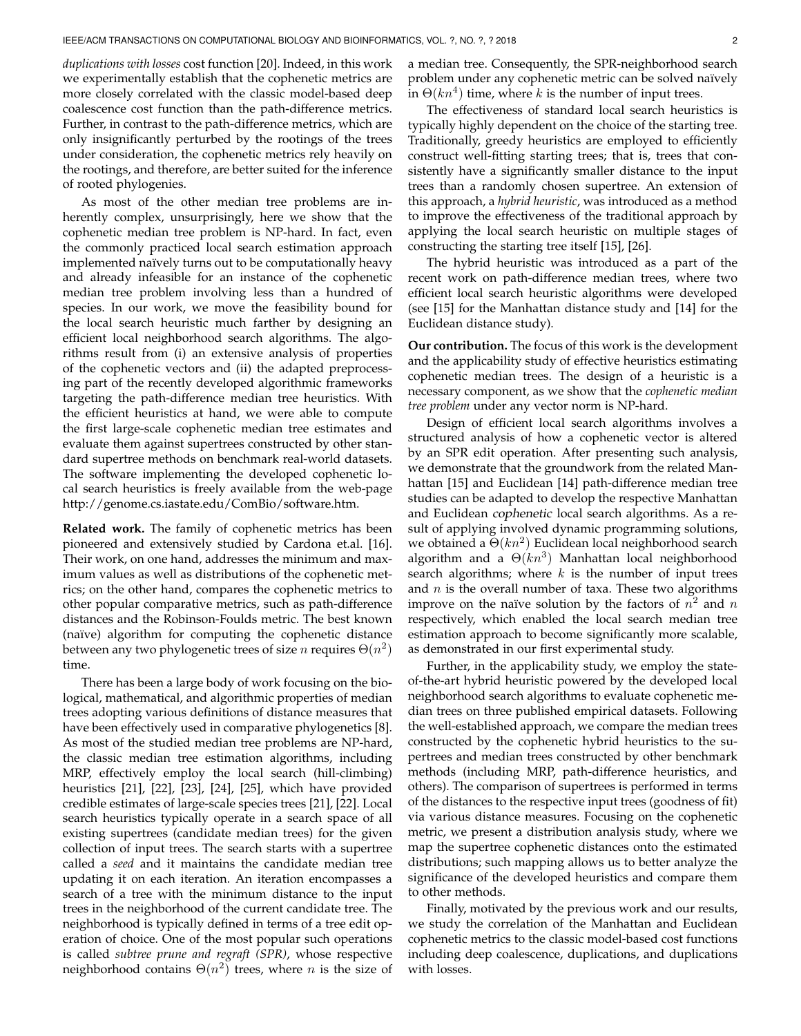*duplications with losses* cost function [20]. Indeed, in this work we experimentally establish that the cophenetic metrics are more closely correlated with the classic model-based deep coalescence cost function than the path-difference metrics. Further, in contrast to the path-difference metrics, which are only insignificantly perturbed by the rootings of the trees under consideration, the cophenetic metrics rely heavily on the rootings, and therefore, are better suited for the inference of rooted phylogenies.

As most of the other median tree problems are inherently complex, unsurprisingly, here we show that the cophenetic median tree problem is NP-hard. In fact, even the commonly practiced local search estimation approach implemented naïvely turns out to be computationally heavy and already infeasible for an instance of the cophenetic median tree problem involving less than a hundred of species. In our work, we move the feasibility bound for the local search heuristic much farther by designing an efficient local neighborhood search algorithms. The algorithms result from (i) an extensive analysis of properties of the cophenetic vectors and (ii) the adapted preprocessing part of the recently developed algorithmic frameworks targeting the path-difference median tree heuristics. With the efficient heuristics at hand, we were able to compute the first large-scale cophenetic median tree estimates and evaluate them against supertrees constructed by other standard supertree methods on benchmark real-world datasets. The software implementing the developed cophenetic local search heuristics is freely available from the web-page http://genome.cs.iastate.edu/ComBio/software.htm.

**Related work.** The family of cophenetic metrics has been pioneered and extensively studied by Cardona et.al. [16]. Their work, on one hand, addresses the minimum and maximum values as well as distributions of the cophenetic metrics; on the other hand, compares the cophenetic metrics to other popular comparative metrics, such as path-difference distances and the Robinson-Foulds metric. The best known (naïve) algorithm for computing the cophenetic distance between any two phylogenetic trees of size n requires  $\Theta(n^2)$ time.

There has been a large body of work focusing on the biological, mathematical, and algorithmic properties of median trees adopting various definitions of distance measures that have been effectively used in comparative phylogenetics [8]. As most of the studied median tree problems are NP-hard, the classic median tree estimation algorithms, including MRP, effectively employ the local search (hill-climbing) heuristics [21], [22], [23], [24], [25], which have provided credible estimates of large-scale species trees [21], [22]. Local search heuristics typically operate in a search space of all existing supertrees (candidate median trees) for the given collection of input trees. The search starts with a supertree called a *seed* and it maintains the candidate median tree updating it on each iteration. An iteration encompasses a search of a tree with the minimum distance to the input trees in the neighborhood of the current candidate tree. The neighborhood is typically defined in terms of a tree edit operation of choice. One of the most popular such operations is called *subtree prune and regraft (SPR)*, whose respective neighborhood contains  $\Theta(n^2)$  trees, where n is the size of

a median tree. Consequently, the SPR-neighborhood search problem under any cophenetic metric can be solved naïvely in  $\Theta(kn^4)$  time, where k is the number of input trees.

The effectiveness of standard local search heuristics is typically highly dependent on the choice of the starting tree. Traditionally, greedy heuristics are employed to efficiently construct well-fitting starting trees; that is, trees that consistently have a significantly smaller distance to the input trees than a randomly chosen supertree. An extension of this approach, a *hybrid heuristic*, was introduced as a method to improve the effectiveness of the traditional approach by applying the local search heuristic on multiple stages of constructing the starting tree itself [15], [26].

The hybrid heuristic was introduced as a part of the recent work on path-difference median trees, where two efficient local search heuristic algorithms were developed (see [15] for the Manhattan distance study and [14] for the Euclidean distance study).

**Our contribution.** The focus of this work is the development and the applicability study of effective heuristics estimating cophenetic median trees. The design of a heuristic is a necessary component, as we show that the *cophenetic median tree problem* under any vector norm is NP-hard.

Design of efficient local search algorithms involves a structured analysis of how a cophenetic vector is altered by an SPR edit operation. After presenting such analysis, we demonstrate that the groundwork from the related Manhattan [15] and Euclidean [14] path-difference median tree studies can be adapted to develop the respective Manhattan and Euclidean cophenetic local search algorithms. As a result of applying involved dynamic programming solutions, we obtained a  $\Theta(kn^2)$  Euclidean local neighborhood search algorithm and a  $\Theta(kn^3)$  Manhattan local neighborhood search algorithms; where  $k$  is the number of input trees and  $n$  is the overall number of taxa. These two algorithms improve on the naïve solution by the factors of  $n^2$  and n respectively, which enabled the local search median tree estimation approach to become significantly more scalable, as demonstrated in our first experimental study.

Further, in the applicability study, we employ the stateof-the-art hybrid heuristic powered by the developed local neighborhood search algorithms to evaluate cophenetic median trees on three published empirical datasets. Following the well-established approach, we compare the median trees constructed by the cophenetic hybrid heuristics to the supertrees and median trees constructed by other benchmark methods (including MRP, path-difference heuristics, and others). The comparison of supertrees is performed in terms of the distances to the respective input trees (goodness of fit) via various distance measures. Focusing on the cophenetic metric, we present a distribution analysis study, where we map the supertree cophenetic distances onto the estimated distributions; such mapping allows us to better analyze the significance of the developed heuristics and compare them to other methods.

Finally, motivated by the previous work and our results, we study the correlation of the Manhattan and Euclidean cophenetic metrics to the classic model-based cost functions including deep coalescence, duplications, and duplications with losses.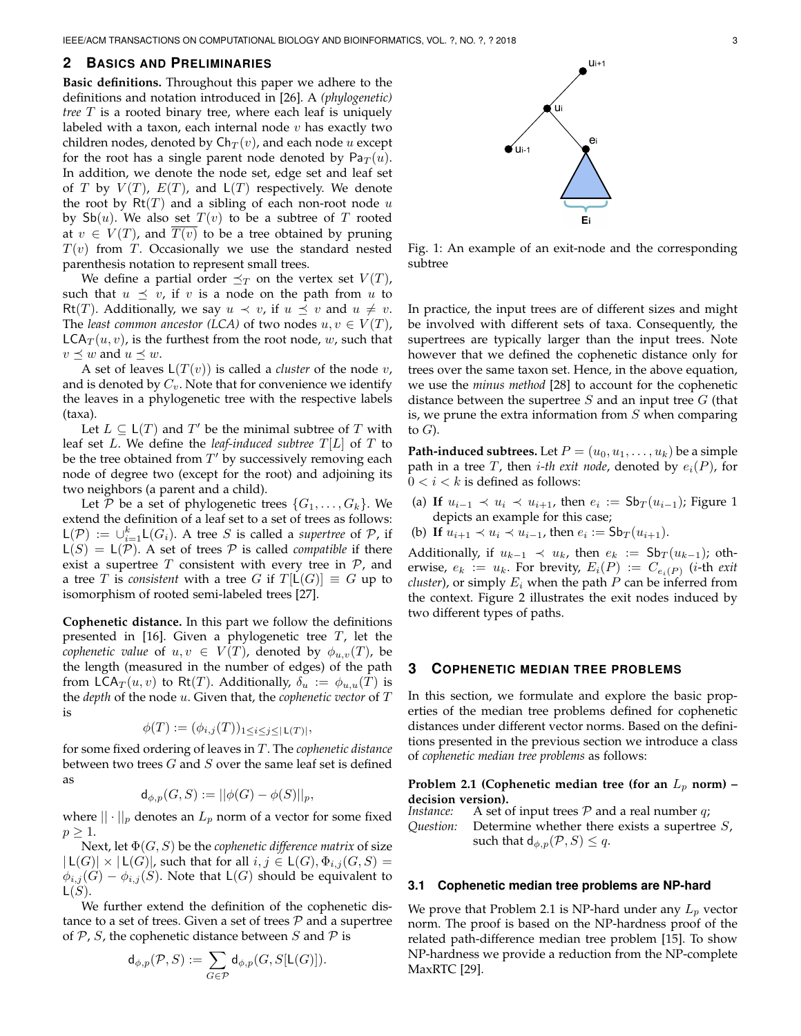## **2 BASICS AND PRELIMINARIES**

**Basic definitions.** Throughout this paper we adhere to the definitions and notation introduced in [26]. A *(phylogenetic) tree* T is a rooted binary tree, where each leaf is uniquely labeled with a taxon, each internal node  $v$  has exactly two children nodes, denoted by  $\mathsf{Ch}_T(v)$ , and each node u except for the root has a single parent node denoted by  $Pa_T(u)$ . In addition, we denote the node set, edge set and leaf set of T by  $V(T)$ ,  $E(T)$ , and  $L(T)$  respectively. We denote the root by  $Rt(T)$  and a sibling of each non-root node u by  $\text{Sb}(u)$ . We also set  $T(v)$  to be a subtree of T rooted at  $v \in V(T)$ , and  $T(v)$  to be a tree obtained by pruning  $T(v)$  from T. Occasionally we use the standard nested parenthesis notation to represent small trees.

We define a partial order  $\preceq_T$  on the vertex set  $V(T)$ , such that  $u \preceq v$ , if v is a node on the path from u to Rt(T). Additionally, we say  $u \prec v$ , if  $u \preceq v$  and  $u \neq v$ . The *least common ancestor* (*LCA*) of two nodes  $u, v \in V(T)$ ,  $LCA_T(u, v)$ , is the furthest from the root node, w, such that  $v \prec w$  and  $u \prec w$ .

A set of leaves  $L(T(v))$  is called a *cluster* of the node v, and is denoted by  $C_v$ . Note that for convenience we identify the leaves in a phylogenetic tree with the respective labels (taxa).

Let  $L \subseteq L(T)$  and  $T'$  be the minimal subtree of T with leaf set L. We define the *leaf-induced subtree* T[L] of T to be the tree obtained from  $T'$  by successively removing each node of degree two (except for the root) and adjoining its two neighbors (a parent and a child).

Let P be a set of phylogenetic trees  $\{G_1, \ldots, G_k\}$ . We extend the definition of a leaf set to a set of trees as follows:  $\mathsf{L}(\mathcal{P}) := \cup_{i=1}^k \mathsf{L}(G_i)$ . A tree S is called a *supertree* of  $\mathcal{P}$ , if  $L(S) = L(\mathcal{P})$ . A set of trees  $\mathcal P$  is called *compatible* if there exist a supertree  $T$  consistent with every tree in  $P$ , and a tree T is *consistent* with a tree G if  $T[L(G)] \equiv G$  up to isomorphism of rooted semi-labeled trees [27].

**Cophenetic distance.** In this part we follow the definitions presented in [16]. Given a phylogenetic tree  $T$ , let the *cophenetic value* of  $u, v \in V(T)$ , denoted by  $\phi_{u,v}(T)$ , be the length (measured in the number of edges) of the path from  $\mathsf{LCA}_{T}(u, v)$  to  $\mathsf{Rt}(T)$ . Additionally,  $\delta_u := \phi_{u, u}(T)$  is the *depth* of the node u. Given that, the *cophenetic vector* of T is

$$
\phi(T) := (\phi_{i,j}(T))_{1 \leq i \leq j \leq |\mathsf{L}(T)|},
$$

for some fixed ordering of leaves in T. The *cophenetic distance* between two trees  $G$  and  $S$  over the same leaf set is defined as

$$
\mathsf{d}_{\phi,p}(G, S) := ||\phi(G) - \phi(S)||_p,
$$

where  $|| \cdot ||_p$  denotes an  $L_p$  norm of a vector for some fixed  $p \geq 1$ .

Next, let  $\Phi(G, S)$  be the *cophenetic difference matrix* of size  $| L(G) | \times | L(G) |$ , such that for all  $i, j \in L(G), \Phi_{i,j}(G, S) =$  $\phi_{i,j}(G) - \phi_{i,j}(S)$ . Note that  $\mathsf{L}(G)$  should be equivalent to  $\mathsf{L}(S)$ .

We further extend the definition of the cophenetic distance to a set of trees. Given a set of trees  $P$  and a supertree of  $P$ ,  $S$ , the cophenetic distance between  $S$  and  $P$  is

$$
\mathsf{d}_{\phi,p}(\mathcal{P},S):=\sum_{G\in \mathcal{P}}\mathsf{d}_{\phi,p}(G,S[\mathsf{L}(G)]).
$$



Fig. 1: An example of an exit-node and the corresponding subtree

In practice, the input trees are of different sizes and might be involved with different sets of taxa. Consequently, the supertrees are typically larger than the input trees. Note however that we defined the cophenetic distance only for trees over the same taxon set. Hence, in the above equation, we use the *minus method* [28] to account for the cophenetic distance between the supertree  $S$  and an input tree  $G$  (that is, we prune the extra information from  $S$  when comparing to  $G$ ).

**Path-induced subtrees.** Let  $P = (u_0, u_1, \dots, u_k)$  be a simple path in a tree  $T$ , then *i-th exit node*, denoted by  $e_i(P)$ , for  $0 < i < k$  is defined as follows:

- (a) **If**  $u_{i-1} \prec u_i \prec u_{i+1}$ , then  $e_i := \text{Sb}_T(u_{i-1})$ ; Figure 1 depicts an example for this case;
- (b) **If**  $u_{i+1} \prec u_i \prec u_{i-1}$ , then  $e_i := \text{Sb}_T(u_{i+1})$ .

Additionally, if  $u_{k-1} \prec u_k$ , then  $e_k := \mathsf{Sb}_T(u_{k-1})$ ; otherwise,  $e_k := u_k$ . For brevity,  $E_i(P) := C_{e_i(P)}$  (*i*-th *exit cluster*), or simply  $E_i$  when the path  $P$  can be inferred from the context. Figure 2 illustrates the exit nodes induced by two different types of paths.

### **3 COPHENETIC MEDIAN TREE PROBLEMS**

In this section, we formulate and explore the basic properties of the median tree problems defined for cophenetic distances under different vector norms. Based on the definitions presented in the previous section we introduce a class of *cophenetic median tree problems* as follows:

**Problem 2.1 (Cophenetic median tree (for an**  $L_p$  **norm) – decision version).**<br>*Instance*: A set of

A set of input trees  $P$  and a real number  $q$ ;

*Question:* Determine whether there exists a supertree S, such that  $d_{\phi, p}(\mathcal{P}, S) \leq q$ .

#### **3.1 Cophenetic median tree problems are NP-hard**

We prove that Problem 2.1 is NP-hard under any  $L_p$  vector norm. The proof is based on the NP-hardness proof of the related path-difference median tree problem [15]. To show NP-hardness we provide a reduction from the NP-complete MaxRTC [29].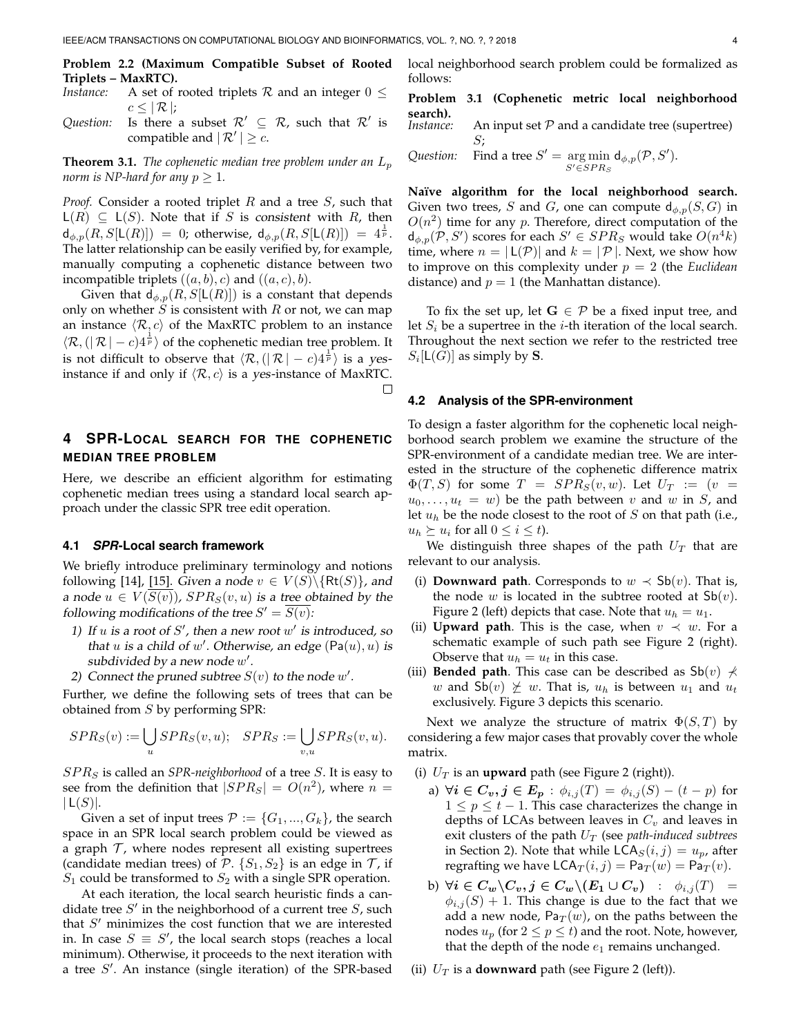**Problem 2.2 (Maximum Compatible Subset of Rooted Triplets – MaxRTC).**

- *Instance:* A set of rooted triplets R and an integer  $0 \leq$  $c \leq |\mathcal{R}|$ ;
- *Question:* Is there a subset  $\mathcal{R}' \subseteq \mathcal{R}$ , such that  $\mathcal{R}'$  is compatible and  $|\mathcal{R}'| \geq c$ .

**Theorem 3.1.** *The cophenetic median tree problem under an*  $L_p$ *norm is NP-hard for any*  $p \geq 1$ *.* 

*Proof.* Consider a rooted triplet R and a tree S, such that  $L(R) \subseteq L(S)$ . Note that if S is consistent with R, then  $d_{\phi,p}(R, S[\mathsf{L}(R)]) = 0$ ; otherwise,  $d_{\phi,p}(R, S[\mathsf{L}(R)]) = 4^{\frac{1}{p}}$ . The latter relationship can be easily verified by, for example, manually computing a cophenetic distance between two incompatible triplets  $((a, b), c)$  and  $((a, c), b)$ .

Given that  $d_{\phi, p}(R, S[L(R)])$  is a constant that depends only on whether  $S$  is consistent with  $R$  or not, we can map an instance  $\langle \mathcal{R}, c \rangle$  of the MaxRTC problem to an instance  $\langle \mathcal{R}, (|\mathcal{R}| - c) 4^{\frac{1}{p}} \rangle$  of the cophenetic median tree problem. It is not difficult to observe that  $\langle \mathcal{R},(|\mathcal{R}|-c)4^{\frac{1}{p}}\rangle$  is a yesinstance if and only if  $\langle \mathcal{R}, c \rangle$  is a yes-instance of MaxRTC. □

# **4 SPR-LOCAL SEARCH FOR THE COPHENETIC MEDIAN TREE PROBLEM**

Here, we describe an efficient algorithm for estimating cophenetic median trees using a standard local search approach under the classic SPR tree edit operation.

## **4.1** *SPR***-Local search framework**

We briefly introduce preliminary terminology and notions following [14], [15]. Given a node  $v \in V(S) \setminus \{ \mathsf{Rt}(S) \}$ , and a node  $u \in V(S(v))$ ,  $SPR<sub>S</sub>(v, u)$  is a tree obtained by the following modifications of the tree  $S' = \overline{S(v)}$ :

- 1) If  $u$  is a root of  $S'$ , then a new root  $w'$  is introduced, so that  $u$  is a child of  $w'$ . Otherwise, an edge  $(\text{Pa}(u), u)$  is subdivided by a new node  $w'$ .
- 2) Connect the pruned subtree  $S(v)$  to the node  $w'$ .

Further, we define the following sets of trees that can be obtained from  $S$  by performing SPR:

$$
SPR_S(v) := \bigcup_u SPR_S(v, u); \quad SPR_S := \bigcup_{v, u} SPR_S(v, u).
$$

 $SPR<sub>S</sub>$  is called an *SPR-neighborhood* of a tree S. It is easy to see from the definition that  $|SPR_S| = O(n^2)$ , where  $n =$  $| L(S) |$ .

Given a set of input trees  $P := \{G_1, ..., G_k\}$ , the search space in an SPR local search problem could be viewed as a graph  $\mathcal T$ , where nodes represent all existing supertrees (candidate median trees) of  $P$ .  $\{S_1, S_2\}$  is an edge in  $\mathcal{T}$ , if  $S_1$  could be transformed to  $S_2$  with a single SPR operation.

At each iteration, the local search heuristic finds a candidate tree  $S'$  in the neighborhood of a current tree  $S$ , such that  $S'$  minimizes the cost function that we are interested in. In case  $S \equiv S'$ , the local search stops (reaches a local minimum). Otherwise, it proceeds to the next iteration with a tree  $S'$ . An instance (single iteration) of the SPR-based

local neighborhood search problem could be formalized as follows:

**Problem 3.1 (Cophenetic metric local neighborhood search).**<br>Instance:

An input set  $P$  and a candidate tree (supertree) S;

*Question:* Find a tree  $S' = \arg \min d_{\phi, p}(\mathcal{P}, S')$ .  $S' \epsilon SPR_S$ 

**Na¨ıve algorithm for the local neighborhood search.** Given two trees, S and G, one can compute  $d_{\phi,p}(S, G)$  in  $O(n^2)$  time for any p. Therefore, direct computation of the  $\mathsf{d}_{\phi, p}(\mathcal{P},S')$  scores for each  $S' \in SPR_S$  would take  $O(n^4k)$ time, where  $n = |L(P)|$  and  $k = |P|$ . Next, we show how to improve on this complexity under  $p = 2$  (the *Euclidean* distance) and  $p = 1$  (the Manhattan distance).

To fix the set up, let  $G \in \mathcal{P}$  be a fixed input tree, and let  $S_i$  be a supertree in the *i*-th iteration of the local search. Throughout the next section we refer to the restricted tree  $S_i\lbrack\mathsf{L}(G)\rbrack$  as simply by  $\mathbf S.$ 

#### **4.2 Analysis of the SPR-environment**

To design a faster algorithm for the cophenetic local neighborhood search problem we examine the structure of the SPR-environment of a candidate median tree. We are interested in the structure of the cophenetic difference matrix  $\Phi(T, S)$  for some  $T = SPR_S(v, w)$ . Let  $U_T := (v =$  $u_0, \ldots, u_t = w$  be the path between v and w in S, and let  $u_h$  be the node closest to the root of  $S$  on that path (i.e.,  $u_h \succeq u_i$  for all  $0 \leq i \leq t$ ).

We distinguish three shapes of the path  $U_T$  that are relevant to our analysis.

- (i) **Downward path**. Corresponds to  $w \prec$  Sb(v). That is, the node w is located in the subtree rooted at  $\text{Sb}(v)$ . Figure 2 (left) depicts that case. Note that  $u_h = u_1$ .
- (ii) **Upward path**. This is the case, when  $v \prec w$ . For a schematic example of such path see Figure 2 (right). Observe that  $u_h = u_t$  in this case.
- (iii) **Bended path**. This case can be described as  $\mathsf{Sb}(v) \not\prec$ w and  $\mathsf{Sb}(v) \not\succeq w$ . That is,  $u_h$  is between  $u_1$  and  $u_t$ exclusively. Figure 3 depicts this scenario.

Next we analyze the structure of matrix  $\Phi(S,T)$  by considering a few major cases that provably cover the whole matrix.

- (i)  $U_T$  is an **upward** path (see Figure 2 (right)).
	- a)  $\forall i \in \mathbf{C_v}, j \in E_p : \phi_{i,j}(T) = \phi_{i,j}(S) (t p)$  for  $1 \leq p \leq t - 1$ . This case characterizes the change in depths of LCAs between leaves in  $C_v$  and leaves in exit clusters of the path  $U_T$  (see *path-induced subtrees* in Section 2). Note that while  $\mathsf{LCA}\nolimits_S(i,j) = u_p$ , after regrafting we have  $\mathsf{LCA}_T(i,j) = \mathsf{Pa}_T(w) = \mathsf{Pa}_T(v)$ .
	- b)  $\forall i \in C_w \backslash C_v, j \in C_w \backslash (E_1 \cup C_v)$  :  $\phi_{i,j}(T)$  =  $\phi_{i,j}(S) + 1$ . This change is due to the fact that we add a new node,  $Pa_T(w)$ , on the paths between the nodes  $u_p$  (for  $2 \le p \le t$ ) and the root. Note, however, that the depth of the node  $e_1$  remains unchanged.
- (ii)  $U_T$  is a **downward** path (see Figure 2 (left)).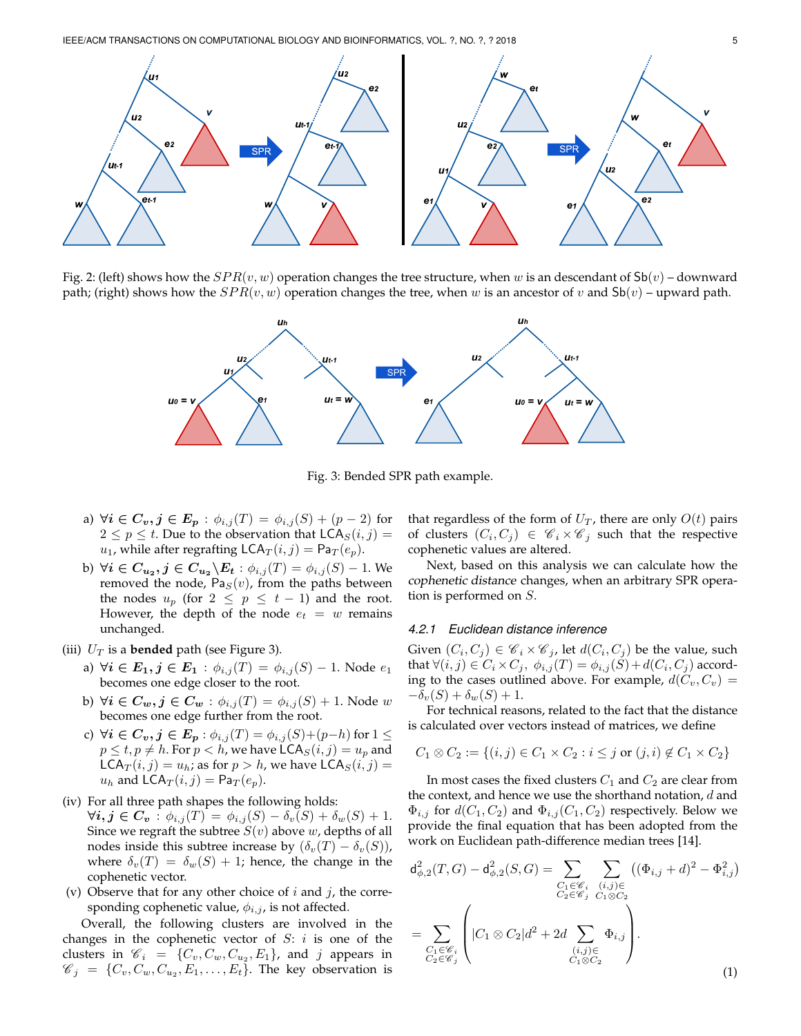

Fig. 2: (left) shows how the  $SPR(v, w)$  operation changes the tree structure, when w is an descendant of  $\text{Sb}(v)$  – downward path; (right) shows how the  $SPR(v, w)$  operation changes the tree, when w is an ancestor of v and  $\mathsf{Sb}(v)$  – upward path.



Fig. 3: Bended SPR path example.

- a)  $\forall i \in C_v, j \in E_p : \phi_{i,j}(T) = \phi_{i,j}(S) + (p-2)$  for  $2 \leq p \leq t$ . Due to the observation that  $\mathsf{LCA}_{S}(i,j) =$  $u_1$ , while after regrafting LCA $_T(i, j) = \mathsf{Pa}_T(e_p)$ .
- b)  $\forall i \in C_{\bm u_{2}}, j \in C_{\bm u_{2}} \backslash E_{\bm t} : \phi_{i,j}(T) = \phi_{i,j}(S) 1.$  We removed the node,  $Pa<sub>S</sub>(v)$ , from the paths between the nodes  $u_p$  (for  $2 \le p \le t - 1$ ) and the root. However, the depth of the node  $e_t = w$  remains unchanged.
- (iii)  $U_T$  is a **bended** path (see Figure 3).
	- a)  $\forall i \in E_1, j \in E_1 : \phi_{i,j}(T) = \phi_{i,j}(S) 1$ . Node  $e_1$ becomes one edge closer to the root.
	- b)  $\forall i \in C_{w}, j \in C_{w} : \phi_{i,j}(T) = \phi_{i,j}(S) + 1$ . Node w becomes one edge further from the root.
	- c)  $\forall i \in \mathbf{C_v}, j \in E_p : \phi_{i,j}(T) = \phi_{i,j}(S) + (p-h)$  for  $1 \leq$  $p \le t, p \ne h$ . For  $p < h$ , we have  $\mathsf{LCA}_{S}(i, j) = u_p$  and  $\mathsf{LCA}_{T}(i,j) = u_h$ ; as for  $p > h$ , we have  $\mathsf{LCA}_{S}(i,j) =$  $u_h$  and  $\mathsf{LCA}_T(i,j) = \mathsf{Pa}_T(e_n)$ .
- (iv) For all three path shapes the following holds:  $\forall i, j \in C_v : \phi_{i,j}(T) = \phi_{i,j}(S) - \delta_v(S) + \delta_w(S) + 1.$ Since we regraft the subtree  $S(v)$  above w, depths of all nodes inside this subtree increase by  $(\delta_v(T) - \delta_v(S))$ , where  $\delta_v(T) = \delta_w(S) + 1$ ; hence, the change in the cophenetic vector.
- (v) Observe that for any other choice of  $i$  and  $j$ , the corresponding cophenetic value,  $\phi_{i,j}$ , is not affected.

Overall, the following clusters are involved in the changes in the cophenetic vector of  $S: i$  is one of the clusters in  $\mathscr{C}_i = \{C_v, C_w, C_{u_2}, E_1\}$ , and j appears in  $\mathscr{C}_j = \{C_v, C_w, C_{u_2}, E_1, \ldots, E_t\}.$  The key observation is

that regardless of the form of  $U_T$ , there are only  $O(t)$  pairs of clusters  $(C_i, C_j) \in \mathscr{C}_i \times \mathscr{C}_j$  such that the respective cophenetic values are altered.

Next, based on this analysis we can calculate how the cophenetic distance changes, when an arbitrary SPR operation is performed on S.

## *4.2.1 Euclidean distance inference*

Given  $(C_i, C_j) \in \mathscr{C}_i \times \mathscr{C}_j$ , let  $d(C_i, C_j)$  be the value, such that  $\forall (i, j) \in C_i \times C_j$ ,  $\phi_{i,j}(T) = \phi_{i,j}(S) + d(C_i, C_j)$  according to the cases outlined above. For example,  $d(C_v, C_v) =$  $-\delta_v(S) + \delta_w(S) + 1.$ 

For technical reasons, related to the fact that the distance is calculated over vectors instead of matrices, we define

$$
C_1 \otimes C_2 := \{(i, j) \in C_1 \times C_2 : i \leq j \text{ or } (j, i) \notin C_1 \times C_2\}
$$

In most cases the fixed clusters  $C_1$  and  $C_2$  are clear from the context, and hence we use the shorthand notation,  $d$  and  $\Phi_{i,j}$  for  $d(C_1, C_2)$  and  $\Phi_{i,j}(C_1, C_2)$  respectively. Below we provide the final equation that has been adopted from the work on Euclidean path-difference median trees [14].

$$
d_{\phi,2}^{2}(T, G) - d_{\phi,2}^{2}(S, G) = \sum_{\substack{C_{1} \in \mathscr{C}_{i} \\ C_{2} \in \mathscr{C}_{j} \\ C_{1} \otimes C_{2}}} \sum_{\substack{(i,j) \in \\ C_{1} \otimes C_{2}}} ((\Phi_{i,j} + d)^{2} - \Phi_{i,j}^{2})
$$

$$
= \sum_{\substack{C_{1} \in \mathscr{C}_{i} \\ C_{2} \in \mathscr{C}_{j}}} \left( |C_{1} \otimes C_{2}|d^{2} + 2d \sum_{\substack{(i,j) \in \\ C_{1} \otimes C_{2}}} \Phi_{i,j} \right).
$$
(1)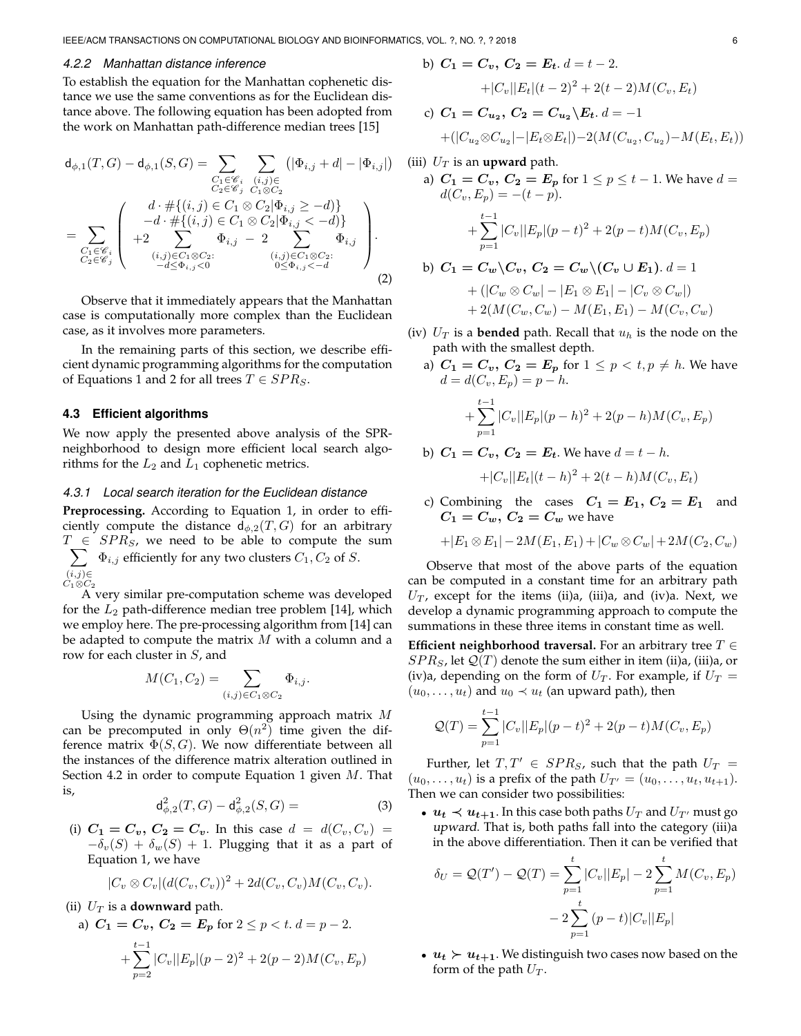#### *4.2.2 Manhattan distance inference*

To establish the equation for the Manhattan cophenetic distance we use the same conventions as for the Euclidean distance above. The following equation has been adopted from the work on Manhattan path-difference median trees [15]

$$
d_{\phi,1}(T, G) - d_{\phi,1}(S, G) = \sum_{\substack{C_1 \in \mathscr{C}_i \\ C_2 \in \mathscr{C}_j \\ C_1 \subseteq \mathscr{C}_i}} \sum_{\substack{(i,j) \in \\ C_1 \otimes C_2}} (\vert \Phi_{i,j} + d \vert - \vert \Phi_{i,j} \vert)
$$
  
= 
$$
\sum_{\substack{C_1 \in \mathscr{C}_i \\ C_2 \in \mathscr{C}_j \\ C_2 \in \mathscr{C}_j}} \begin{pmatrix} d \cdot \# \{ (i,j) \in C_1 \otimes C_2 | \Phi_{i,j} \geq -d \} \\ -d \cdot \# \{ (i,j) \in C_1 \otimes C_2 | \Phi_{i,j} < -d \} \\ +2 \sum_{\substack{(i,j) \in C_1 \otimes C_2:\\ -d \leq \Phi_{i,j} < 0}} \Phi_{i,j} - 2 \sum_{\substack{(i,j) \in C_1 \otimes C_2:\\ 0 \leq \Phi_{i,j} < -d}} \Phi_{i,j} \end{pmatrix}.
$$

Observe that it immediately appears that the Manhattan case is computationally more complex than the Euclidean case, as it involves more parameters.

In the remaining parts of this section, we describe efficient dynamic programming algorithms for the computation of Equations 1 and 2 for all trees  $T \in SPR_S$ .

#### **4.3 Efficient algorithms**

We now apply the presented above analysis of the SPRneighborhood to design more efficient local search algorithms for the  $L_2$  and  $L_1$  cophenetic metrics.

#### *4.3.1 Local search iteration for the Euclidean distance*

**Preprocessing.** According to Equation 1, in order to efficiently compute the distance  $d_{\phi,2}(T,G)$  for an arbitrary  $T \in SPR_S$ , we need to be able to compute the sum  $\sum$   $\Phi_{i,j}$  efficiently for any two clusters  $C_1, C_2$  of S.  $(i,j) \in C_1 ⊗ C_2$ 

A very similar pre-computation scheme was developed for the  $L_2$  path-difference median tree problem [14], which we employ here. The pre-processing algorithm from [14] can be adapted to compute the matrix  $M$  with a column and a row for each cluster in S, and

$$
M(C_1, C_2) = \sum_{(i,j) \in C_1 \otimes C_2} \Phi_{i,j}.
$$

Using the dynamic programming approach matrix M can be precomputed in only  $\Theta(n^2)$  time given the difference matrix  $\Phi(S, G)$ . We now differentiate between all the instances of the difference matrix alteration outlined in Section 4.2 in order to compute Equation 1 given  $M$ . That is,

$$
d_{\phi,2}^2(T,G) - d_{\phi,2}^2(S,G) = \tag{3}
$$

(i)  $C_1 = C_v$ ,  $C_2 = C_v$ . In this case  $d = d(C_v, C_v)$  $-\delta_v(S) + \delta_w(S) + 1$ . Plugging that it as a part of Equation 1, we have

$$
|C_v \otimes C_v|(d(C_v, C_v))^2 + 2d(C_v, C_v)M(C_v, C_v).
$$

(ii)  $U_T$  is a **downward** path.

a) 
$$
C_1 = C_v
$$
,  $C_2 = E_p$  for  $2 \le p < t$ .  $d = p - 2$ .  
+  $\sum_{p=2}^{t-1} |C_v||E_p|(p-2)^2 + 2(p-2)M(C_v, E_p)$ 

b) 
$$
C_1 = C_v
$$
,  $C_2 = E_t$ .  $d = t - 2$ .  
\t $+|C_v||E_t|(t-2)^2 + 2(t-2)M(C_v, E_t)$   
c)  $C_1 = C_{u_2}$ ,  $C_2 = C_{u_2} \setminus E_t$ .  $d = -1$   
\t $+(|C_{u_2} \otimes C_{u_2}| - |E_t \otimes E_t|) - 2(M(C_{u_2}, C_{u_2}) - M(E_t, E_t))$ 

(iii) 
$$
U_T
$$
 is an upward path.  
\na)  $C_1 = C_v$ ,  $C_2 = E_p$  for  $1 \le p \le t - 1$ . We have  $d = d(C_v, E_p) = -(t - p)$ .  
\n
$$
+ \sum_{p=1}^{t-1} |C_v||E_p|(p-t)^2 + 2(p-t)M(C_v, E_p)
$$
\nb)  $C_1 = C_w \setminus C_v$ ,  $C_2 = C_w \setminus (C_v \cup E_1)$ .  $d = 1$   
\n
$$
+ |C_w \otimes C_w| - |E_1 \otimes E_1| - |C_v \otimes C_w|)
$$
\n
$$
+ 2(M(C_w, C_w) - M(E_1, E_1) - M(C_v, C_w)
$$

(iv)  $U_T$  is a **bended** path. Recall that  $u_h$  is the node on the path with the smallest depth.

a) 
$$
C_1 = C_v
$$
,  $C_2 = E_p$  for  $1 \le p < t, p \ne h$ . We have  
\n
$$
d = d(C_v, E_p) = p - h.
$$
\n
$$
t - 1
$$
\n
$$
+ \sum |C_v||E_n|(p - h)^2 + 2(p - h)M(C_v, E_v)
$$

+
$$
\sum_{p=1}
$$
  $|C_v||E_p|(p-h)^2 + 2(p-h)M(C_v, E_p)$ 

b) 
$$
C_1 = C_v
$$
,  $C_2 = E_t$ . We have  $d = t - h$ .  
  $+ |C_v||E_t|(t - h)^2 + 2(t - h)M(C_v, E_t)$ 

c) Combining the cases  $C_1 = E_1, C_2 = E_1$  and  $C_1 = C_w$ ,  $C_2 = C_w$  we have

$$
+|E_1\otimes E_1|-2M(E_1,E_1)+|C_w\otimes C_w|+2M(C_2,C_w)
$$

Observe that most of the above parts of the equation can be computed in a constant time for an arbitrary path  $U_T$ , except for the items (ii)a, (iii)a, and (iv)a. Next, we develop a dynamic programming approach to compute the summations in these three items in constant time as well.

**Efficient neighborhood traversal.** For an arbitrary tree  $T \in$  $SPR<sub>S</sub>$ , let  $\mathcal{Q}(T)$  denote the sum either in item (ii)a, (iii)a, or (iv)a, depending on the form of  $U_T$ . For example, if  $U_T =$  $(u_0, \ldots, u_t)$  and  $u_0 \prec u_t$  (an upward path), then

$$
Q(T) = \sum_{p=1}^{t-1} |C_v||E_p|(p-t)^2 + 2(p-t)M(C_v, E_p)
$$

Further, let  $T, T' \in SPR_S$ , such that the path  $U_T =$  $(u_0, \ldots, u_t)$  is a prefix of the path  $U_{T'} = (u_0, \ldots, u_t, u_{t+1}).$ Then we can consider two possibilities:

•  $u_t \prec u_{t+1}$ . In this case both paths  $U_T$  and  $U_{T'}$  must go upward. That is, both paths fall into the category (iii)a in the above differentiation. Then it can be verified that

$$
\delta_U = \mathcal{Q}(T') - \mathcal{Q}(T) = \sum_{p=1}^t |C_v||E_p| - 2\sum_{p=1}^t M(C_v, E_p) - 2\sum_{p=1}^t (p-t)|C_v||E_p|
$$

•  $u_t$   $\succ u_{t+1}$ . We distinguish two cases now based on the form of the path  $U_T$ .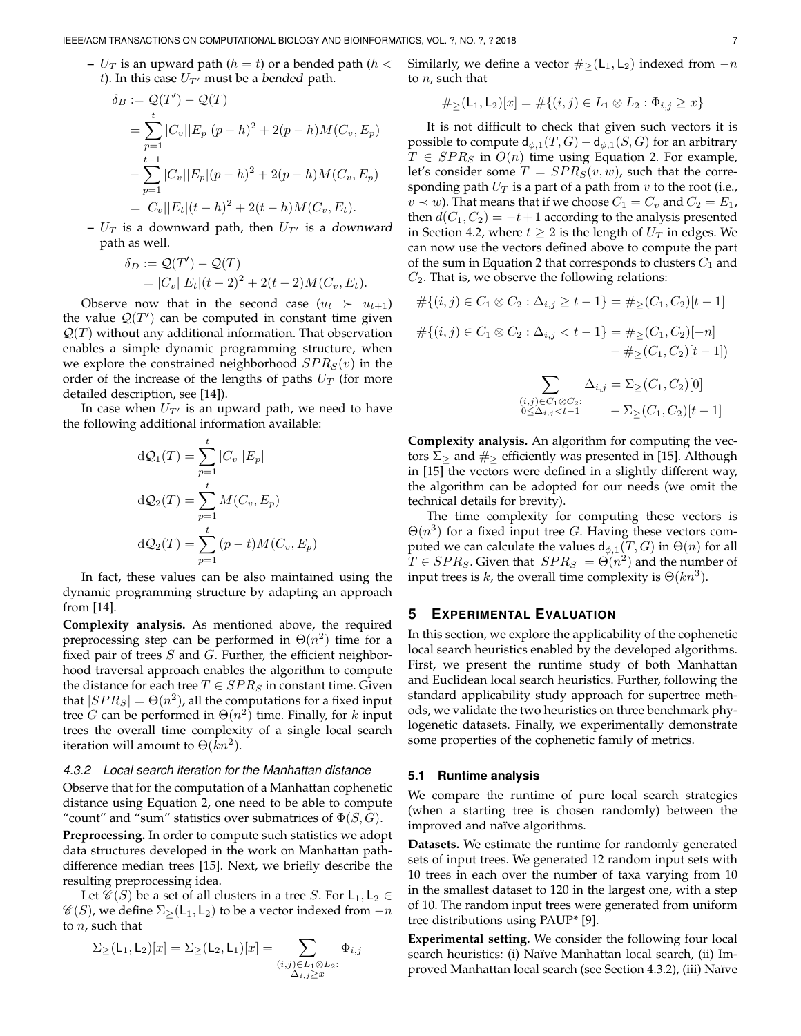$- U_T$  is an upward path ( $h = t$ ) or a bended path ( $h <$ t). In this case  $U_{T}$  must be a bended path.

$$
\delta_B := Q(T') - Q(T)
$$
  
=  $\sum_{p=1}^t |C_v||E_p|(p-h)^2 + 2(p-h)M(C_v, E_p)$   
-  $\sum_{p=1}^{t-1} |C_v||E_p|(p-h)^2 + 2(p-h)M(C_v, E_p)$   
=  $|C_v||E_t|(t-h)^2 + 2(t-h)M(C_v, E_t).$ 

 $\sim U_T$  is a downward path, then  $U_{T'}$  is a downward path as well.

$$
\delta_D := Q(T') - Q(T)
$$
  
=  $|C_v||E_t|(t-2)^2 + 2(t-2)M(C_v, E_t).$ 

Observe now that in the second case  $(u_t > u_{t+1})$ the value  $Q(T')$  can be computed in constant time given  $\mathcal{Q}(T)$  without any additional information. That observation enables a simple dynamic programming structure, when we explore the constrained neighborhood  $SPR<sub>S</sub>(v)$  in the order of the increase of the lengths of paths  $U_T$  (for more detailed description, see [14]).

In case when  $U_{T'}$  is an upward path, we need to have the following additional information available:

$$
dQ_1(T) = \sum_{p=1}^t |C_v||E_p|
$$
  
\n
$$
dQ_2(T) = \sum_{p=1}^t M(C_v, E_p)
$$
  
\n
$$
dQ_2(T) = \sum_{p=1}^t (p-t)M(C_v, E_p)
$$

In fact, these values can be also maintained using the dynamic programming structure by adapting an approach from [14].

**Complexity analysis.** As mentioned above, the required preprocessing step can be performed in  $\Theta(n^2)$  time for a fixed pair of trees  $S$  and  $G$ . Further, the efficient neighborhood traversal approach enables the algorithm to compute the distance for each tree  $T \in SPR_S$  in constant time. Given that  $|SPR_S| = \Theta(n^2)$ , all the computations for a fixed input tree G can be performed in  $\Theta(n^2)$  time. Finally, for k input trees the overall time complexity of a single local search iteration will amount to  $\Theta(kn^2)$ .

#### *4.3.2 Local search iteration for the Manhattan distance*

Observe that for the computation of a Manhattan cophenetic distance using Equation 2, one need to be able to compute "count" and "sum" statistics over submatrices of  $\Phi(S, G)$ .

**Preprocessing.** In order to compute such statistics we adopt data structures developed in the work on Manhattan pathdifference median trees [15]. Next, we briefly describe the resulting preprocessing idea.

Let  $\mathscr{C}(S)$  be a set of all clusters in a tree S. For  $\mathsf{L}_1, \mathsf{L}_2 \in$  $\mathscr{C}(S)$ , we define  $\Sigma_{\geq}(\mathsf{L}_1,\mathsf{L}_2)$  to be a vector indexed from  $-n$ to  $n$ , such that

$$
\Sigma_{\geq}(L_1, L_2)[x] = \Sigma_{\geq}(L_2, L_1)[x] = \sum_{\substack{(i,j) \in L_1 \otimes L_2:\\ \Delta_{i,j} \ge x}} \Phi_{i,j}
$$

Similarly, we define a vector  $\#_{>}(L_1, L_2)$  indexed from  $-n$ to  $n$ , such that

$$
\#_{\geq}(L_1, L_2)[x] = \#\{(i, j) \in L_1 \otimes L_2 : \Phi_{i, j} \geq x\}
$$

It is not difficult to check that given such vectors it is possible to compute  $d_{\phi,1}(T,G) - d_{\phi,1}(S,G)$  for an arbitrary  $T \in SPR_S$  in  $O(n)$  time using Equation 2. For example, let's consider some  $T = SPR_S(v, w)$ , such that the corresponding path  $U_T$  is a part of a path from  $v$  to the root (i.e.,  $v \prec w$ ). That means that if we choose  $C_1 = C_v$  and  $C_2 = E_1$ , then  $d(C_1, C_2) = -t+1$  according to the analysis presented in Section 4.2, where  $t \geq 2$  is the length of  $U_T$  in edges. We can now use the vectors defined above to compute the part of the sum in Equation 2 that corresponds to clusters  $C_1$  and  $C_2$ . That is, we observe the following relations:

$$
\#\{(i,j)\in C_1\otimes C_2:\Delta_{i,j}\geq t-1\} = \#\geq (C_1, C_2)[t-1]
$$

$$
\#\{(i,j)\in C_1\otimes C_2:\Delta_{i,j}< t-1\} = \#\geq (C_1, C_2)[-n]
$$

$$
-\# \geq (C_1, C_2)[t-1])
$$

$$
\sum_{\substack{(i,j)\in C_1\otimes C_2:\\0\leq\Delta_{i,j}< t-1}} \Delta_{i,j} = \Sigma \geq (C_1, C_2)[0]
$$

**Complexity analysis.** An algorithm for computing the vectors  $\Sigma$  and  $\#$  efficiently was presented in [15]. Although in [15] the vectors were defined in a slightly different way, the algorithm can be adopted for our needs (we omit the technical details for brevity).

The time complexity for computing these vectors is  $\Theta(n^3)$  for a fixed input tree G. Having these vectors computed we can calculate the values  $d_{\phi,1}(T,G)$  in  $\Theta(n)$  for all  $T \in SPR_S.$  Given that  $|SPR_S| = \Theta(n^2)$  and the number of input trees is  $k$ , the overall time complexity is  $\Theta(kn^3)$ .

## **5 EXPERIMENTAL EVALUATION**

In this section, we explore the applicability of the cophenetic local search heuristics enabled by the developed algorithms. First, we present the runtime study of both Manhattan and Euclidean local search heuristics. Further, following the standard applicability study approach for supertree methods, we validate the two heuristics on three benchmark phylogenetic datasets. Finally, we experimentally demonstrate some properties of the cophenetic family of metrics.

#### **5.1 Runtime analysis**

We compare the runtime of pure local search strategies (when a starting tree is chosen randomly) between the improved and naïve algorithms.

**Datasets.** We estimate the runtime for randomly generated sets of input trees. We generated 12 random input sets with 10 trees in each over the number of taxa varying from 10 in the smallest dataset to 120 in the largest one, with a step of 10. The random input trees were generated from uniform tree distributions using PAUP\* [9].

**Experimental setting.** We consider the following four local search heuristics: (i) Naïve Manhattan local search, (ii) Improved Manhattan local search (see Section 4.3.2), (iii) Naïve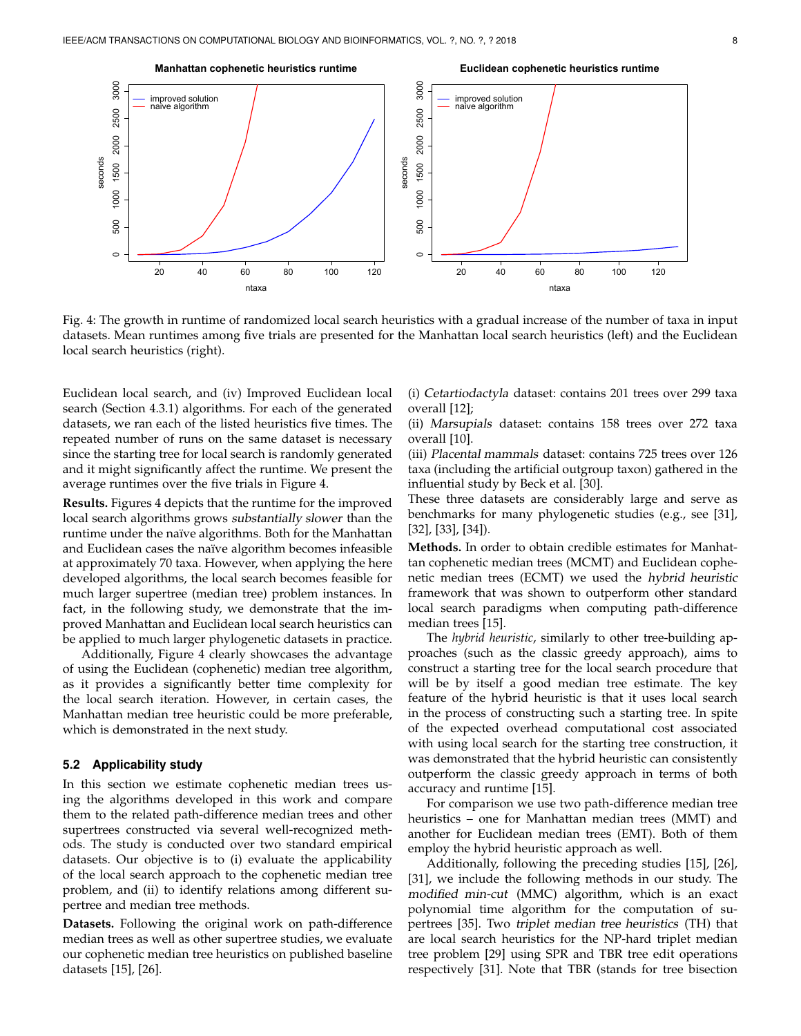

Fig. 4: The growth in runtime of randomized local search heuristics with a gradual increase of the number of taxa in input datasets. Mean runtimes among five trials are presented for the Manhattan local search heuristics (left) and the Euclidean local search heuristics (right).

Euclidean local search, and (iv) Improved Euclidean local search (Section 4.3.1) algorithms. For each of the generated datasets, we ran each of the listed heuristics five times. The repeated number of runs on the same dataset is necessary since the starting tree for local search is randomly generated and it might significantly affect the runtime. We present the average runtimes over the five trials in Figure 4.

**Results.** Figures 4 depicts that the runtime for the improved local search algorithms grows substantially slower than the runtime under the naïve algorithms. Both for the Manhattan and Euclidean cases the naïve algorithm becomes infeasible at approximately 70 taxa. However, when applying the here developed algorithms, the local search becomes feasible for much larger supertree (median tree) problem instances. In fact, in the following study, we demonstrate that the improved Manhattan and Euclidean local search heuristics can be applied to much larger phylogenetic datasets in practice.

Additionally, Figure 4 clearly showcases the advantage of using the Euclidean (cophenetic) median tree algorithm, as it provides a significantly better time complexity for the local search iteration. However, in certain cases, the Manhattan median tree heuristic could be more preferable, which is demonstrated in the next study.

## **5.2 Applicability study**

In this section we estimate cophenetic median trees using the algorithms developed in this work and compare them to the related path-difference median trees and other supertrees constructed via several well-recognized methods. The study is conducted over two standard empirical datasets. Our objective is to (i) evaluate the applicability of the local search approach to the cophenetic median tree problem, and (ii) to identify relations among different supertree and median tree methods.

**Datasets.** Following the original work on path-difference median trees as well as other supertree studies, we evaluate our cophenetic median tree heuristics on published baseline datasets [15], [26].

(i) Cetartiodactyla dataset: contains 201 trees over 299 taxa overall [12];

(ii) Marsupials dataset: contains 158 trees over 272 taxa overall [10].

(iii) Placental mammals dataset: contains 725 trees over 126 taxa (including the artificial outgroup taxon) gathered in the influential study by Beck et al. [30].

These three datasets are considerably large and serve as benchmarks for many phylogenetic studies (e.g., see [31], [32], [33], [34]).

**Methods.** In order to obtain credible estimates for Manhattan cophenetic median trees (MCMT) and Euclidean cophenetic median trees (ECMT) we used the hybrid heuristic framework that was shown to outperform other standard local search paradigms when computing path-difference median trees [15].

The *hybrid heuristic*, similarly to other tree-building approaches (such as the classic greedy approach), aims to construct a starting tree for the local search procedure that will be by itself a good median tree estimate. The key feature of the hybrid heuristic is that it uses local search in the process of constructing such a starting tree. In spite of the expected overhead computational cost associated with using local search for the starting tree construction, it was demonstrated that the hybrid heuristic can consistently outperform the classic greedy approach in terms of both accuracy and runtime [15].

For comparison we use two path-difference median tree heuristics – one for Manhattan median trees (MMT) and another for Euclidean median trees (EMT). Both of them employ the hybrid heuristic approach as well.

Additionally, following the preceding studies [15], [26], [31], we include the following methods in our study. The modified min-cut (MMC) algorithm, which is an exact polynomial time algorithm for the computation of supertrees [35]. Two triplet median tree heuristics (TH) that are local search heuristics for the NP-hard triplet median tree problem [29] using SPR and TBR tree edit operations respectively [31]. Note that TBR (stands for tree bisection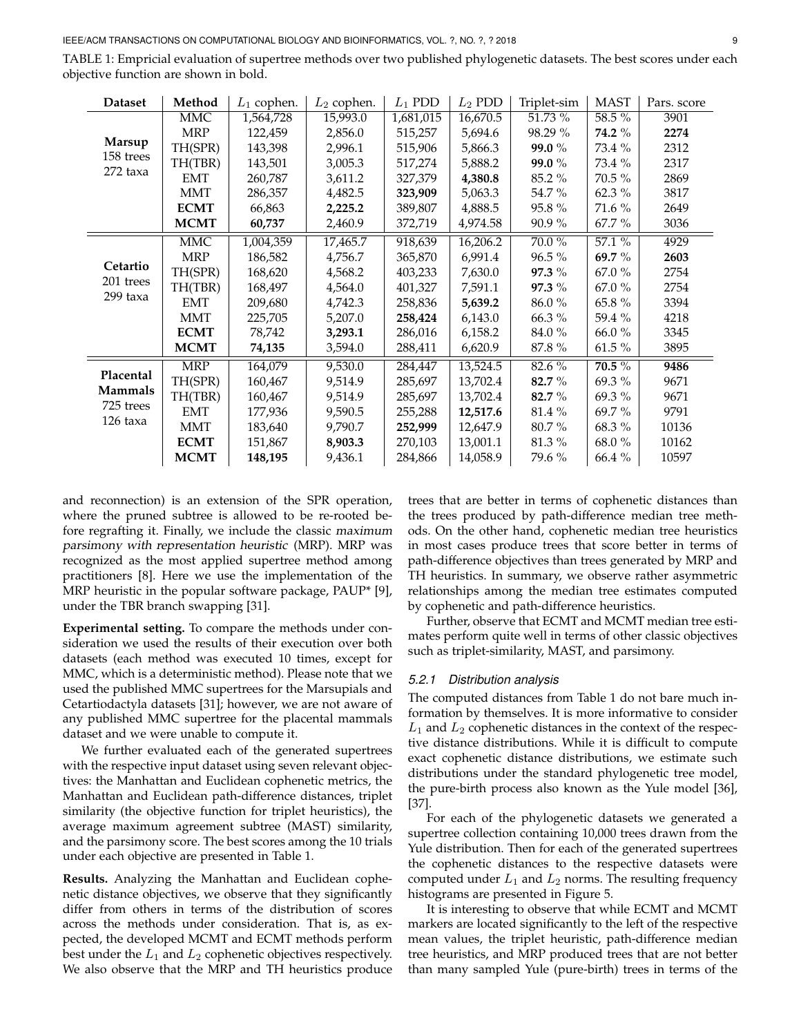TABLE 1: Empricial evaluation of supertree methods over two published phylogenetic datasets. The best scores under each objective function are shown in bold.

| <b>Dataset</b>                                  | Method      | $L_1$ cophen. | $L_2$ cophen. | $L_1$ PDD | $L_2$ PDD | Triplet-sim | <b>MAST</b>   | Pars. score |
|-------------------------------------------------|-------------|---------------|---------------|-----------|-----------|-------------|---------------|-------------|
| Marsup<br>$158$ trees $\,$<br>$272$ taxa        | <b>MMC</b>  | 1,564,728     | 15,993.0      | 1,681,015 | 16,670.5  | 51.73 %     | 58.5 %        | 3901        |
|                                                 | <b>MRP</b>  | 122,459       | 2,856.0       | 515,257   | 5,694.6   | 98.29 %     | <b>74.2</b> % | 2274        |
|                                                 | TH(SPR)     | 143,398       | 2,996.1       | 515,906   | 5,866.3   | 99.0 %      | 73.4 %        | 2312        |
|                                                 | TH(TBR)     | 143,501       | 3,005.3       | 517,274   | 5,888.2   | 99.0 $%$    | 73.4 %        | 2317        |
|                                                 | <b>EMT</b>  | 260,787       | 3,611.2       | 327,379   | 4,380.8   | 85.2%       | 70.5 %        | 2869        |
|                                                 | <b>MMT</b>  | 286,357       | 4,482.5       | 323,909   | 5,063.3   | 54.7%       | 62.3 %        | 3817        |
|                                                 | <b>ECMT</b> | 66,863        | 2,225.2       | 389,807   | 4,888.5   | 95.8%       | 71.6 %        | 2649        |
|                                                 | <b>MCMT</b> | 60,737        | 2,460.9       | 372,719   | 4,974.58  | $90.9\%$    | 67.7%         | 3036        |
| Cetartio<br>201 trees<br>299 taxa               | <b>MMC</b>  | 1,004,359     | 17,465.7      | 918,639   | 16,206.2  | 70.0%       | 57.1 %        | 4929        |
|                                                 | <b>MRP</b>  | 186,582       | 4,756.7       | 365,870   | 6,991.4   | 96.5%       | 69.7%         | 2603        |
|                                                 | TH(SPR)     | 168,620       | 4,568.2       | 403,233   | 7,630.0   | $97.3 \%$   | 67.0 %        | 2754        |
|                                                 | TH(TBR)     | 168,497       | 4,564.0       | 401,327   | 7,591.1   | 97.3 %      | 67.0%         | 2754        |
|                                                 | <b>EMT</b>  | 209,680       | 4,742.3       | 258,836   | 5,639.2   | 86.0%       | 65.8%         | 3394        |
|                                                 | <b>MMT</b>  | 225,705       | 5,207.0       | 258,424   | 6,143.0   | 66.3 %      | 59.4 %        | 4218        |
|                                                 | <b>ECMT</b> | 78,742        | 3,293.1       | 286,016   | 6,158.2   | 84.0%       | 66.0%         | 3345        |
|                                                 | <b>MCMT</b> | 74,135        | 3,594.0       | 288,411   | 6,620.9   | 87.8%       | $61.5\%$      | 3895        |
| Placental<br>Mammals<br>725 trees<br>$126$ taxa | <b>MRP</b>  | 164,079       | 9,530.0       | 284,447   | 13,524.5  | 82.6 %      | <b>70.5</b> % | 9486        |
|                                                 | TH(SPR)     | 160,467       | 9,514.9       | 285,697   | 13,702.4  | 82.7%       | 69.3%         | 9671        |
|                                                 | TH(TBR)     | 160,467       | 9,514.9       | 285,697   | 13,702.4  | 82.7%       | 69.3%         | 9671        |
|                                                 | EMT         | 177,936       | 9,590.5       | 255,288   | 12,517.6  | 81.4 %      | $69.7\%$      | 9791        |
|                                                 | <b>MMT</b>  | 183,640       | 9,790.7       | 252,999   | 12,647.9  | 80.7%       | 68.3%         | 10136       |
|                                                 | <b>ECMT</b> | 151,867       | 8,903.3       | 270,103   | 13,001.1  | 81.3%       | 68.0%         | 10162       |
|                                                 | <b>MCMT</b> | 148,195       | 9,436.1       | 284,866   | 14,058.9  | 79.6 %      | 66.4 %        | 10597       |

and reconnection) is an extension of the SPR operation, where the pruned subtree is allowed to be re-rooted before regrafting it. Finally, we include the classic maximum parsimony with representation heuristic (MRP). MRP was recognized as the most applied supertree method among practitioners [8]. Here we use the implementation of the MRP heuristic in the popular software package, PAUP\* [9], under the TBR branch swapping [31].

**Experimental setting.** To compare the methods under consideration we used the results of their execution over both datasets (each method was executed 10 times, except for MMC, which is a deterministic method). Please note that we used the published MMC supertrees for the Marsupials and Cetartiodactyla datasets [31]; however, we are not aware of any published MMC supertree for the placental mammals dataset and we were unable to compute it.

We further evaluated each of the generated supertrees with the respective input dataset using seven relevant objectives: the Manhattan and Euclidean cophenetic metrics, the Manhattan and Euclidean path-difference distances, triplet similarity (the objective function for triplet heuristics), the average maximum agreement subtree (MAST) similarity, and the parsimony score. The best scores among the 10 trials under each objective are presented in Table 1.

**Results.** Analyzing the Manhattan and Euclidean cophenetic distance objectives, we observe that they significantly differ from others in terms of the distribution of scores across the methods under consideration. That is, as expected, the developed MCMT and ECMT methods perform best under the  $L_1$  and  $L_2$  cophenetic objectives respectively. We also observe that the MRP and TH heuristics produce

trees that are better in terms of cophenetic distances than the trees produced by path-difference median tree methods. On the other hand, cophenetic median tree heuristics in most cases produce trees that score better in terms of path-difference objectives than trees generated by MRP and TH heuristics. In summary, we observe rather asymmetric relationships among the median tree estimates computed by cophenetic and path-difference heuristics.

Further, observe that ECMT and MCMT median tree estimates perform quite well in terms of other classic objectives such as triplet-similarity, MAST, and parsimony.

#### *5.2.1 Distribution analysis*

The computed distances from Table 1 do not bare much information by themselves. It is more informative to consider  $L_1$  and  $L_2$  cophenetic distances in the context of the respective distance distributions. While it is difficult to compute exact cophenetic distance distributions, we estimate such distributions under the standard phylogenetic tree model, the pure-birth process also known as the Yule model [36], [37].

For each of the phylogenetic datasets we generated a supertree collection containing 10,000 trees drawn from the Yule distribution. Then for each of the generated supertrees the cophenetic distances to the respective datasets were computed under  $L_1$  and  $L_2$  norms. The resulting frequency histograms are presented in Figure 5.

It is interesting to observe that while ECMT and MCMT markers are located significantly to the left of the respective mean values, the triplet heuristic, path-difference median tree heuristics, and MRP produced trees that are not better than many sampled Yule (pure-birth) trees in terms of the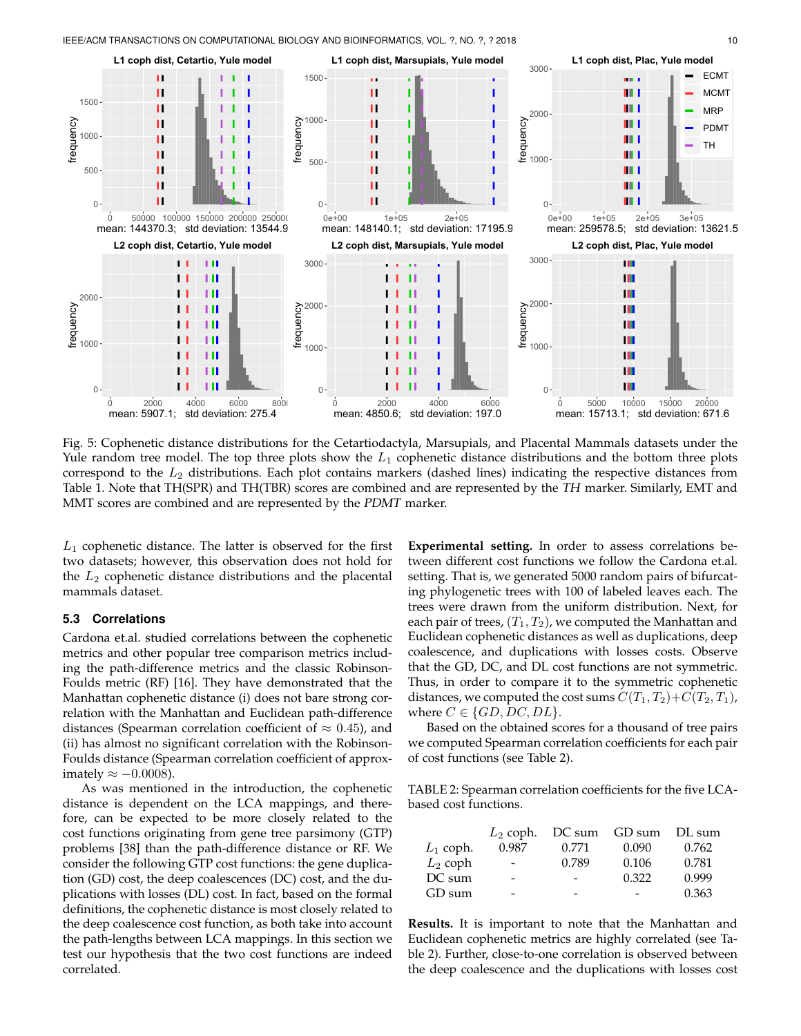

Fig. 5: Cophenetic distance distributions for the Cetartiodactyla, Marsupials, and Placental Mammals datasets under the Yule random tree model. The top three plots show the  $L_1$  cophenetic distance distributions and the bottom three plots correspond to the  $L_2$  distributions. Each plot contains markers (dashed lines) indicating the respective distances from Table 1. Note that TH(SPR) and TH(TBR) scores are combined and are represented by the TH marker. Similarly, EMT and MMT scores are combined and are represented by the PDMT marker.

 $L_1$  cophenetic distance. The latter is observed for the first two datasets; however, this observation does not hold for the  $L_2$  cophenetic distance distributions and the placental mammals dataset.

## **5.3 Correlations**

Cardona et.al. studied correlations between the cophenetic metrics and other popular tree comparison metrics including the path-difference metrics and the classic Robinson-Foulds metric (RF) [16]. They have demonstrated that the Manhattan cophenetic distance (i) does not bare strong correlation with the Manhattan and Euclidean path-difference distances (Spearman correlation coefficient of  $\approx$  0.45), and (ii) has almost no significant correlation with the Robinson-Foulds distance (Spearman correlation coefficient of approximately  $\approx -0.0008$ ).

As was mentioned in the introduction, the cophenetic distance is dependent on the LCA mappings, and therefore, can be expected to be more closely related to the cost functions originating from gene tree parsimony (GTP) problems [38] than the path-difference distance or RF. We consider the following GTP cost functions: the gene duplication (GD) cost, the deep coalescences (DC) cost, and the duplications with losses (DL) cost. In fact, based on the formal definitions, the cophenetic distance is most closely related to the deep coalescence cost function, as both take into account the path-lengths between LCA mappings. In this section we test our hypothesis that the two cost functions are indeed correlated.

**Experimental setting.** In order to assess correlations between different cost functions we follow the Cardona et.al. setting. That is, we generated 5000 random pairs of bifurcating phylogenetic trees with 100 of labeled leaves each. The trees were drawn from the uniform distribution. Next, for each pair of trees,  $(T_1, T_2)$ , we computed the Manhattan and Euclidean cophenetic distances as well as duplications, deep coalescence, and duplications with losses costs. Observe that the GD, DC, and DL cost functions are not symmetric. Thus, in order to compare it to the symmetric cophenetic distances, we computed the cost sums  $C(T_1, T_2) + C(T_2, T_1)$ , where  $C \in \{GD, DC, DL\}$ .

Based on the obtained scores for a thousand of tree pairs we computed Spearman correlation coefficients for each pair of cost functions (see Table 2).

TABLE 2: Spearman correlation coefficients for the five LCAbased cost functions.

|             |                          |       | $L_2$ coph. DC sum GD sum DL sum |       |
|-------------|--------------------------|-------|----------------------------------|-------|
| $L_1$ coph. | 0.987                    | 0.771 | 0.090                            | 0.762 |
| $L_2$ coph  | $\overline{\phantom{a}}$ | 0.789 | 0.106                            | 0.781 |
| DC sum      | -                        |       | 0.322                            | 0.999 |
| GD sum      |                          |       |                                  | 0.363 |

**Results.** It is important to note that the Manhattan and Euclidean cophenetic metrics are highly correlated (see Table 2). Further, close-to-one correlation is observed between the deep coalescence and the duplications with losses cost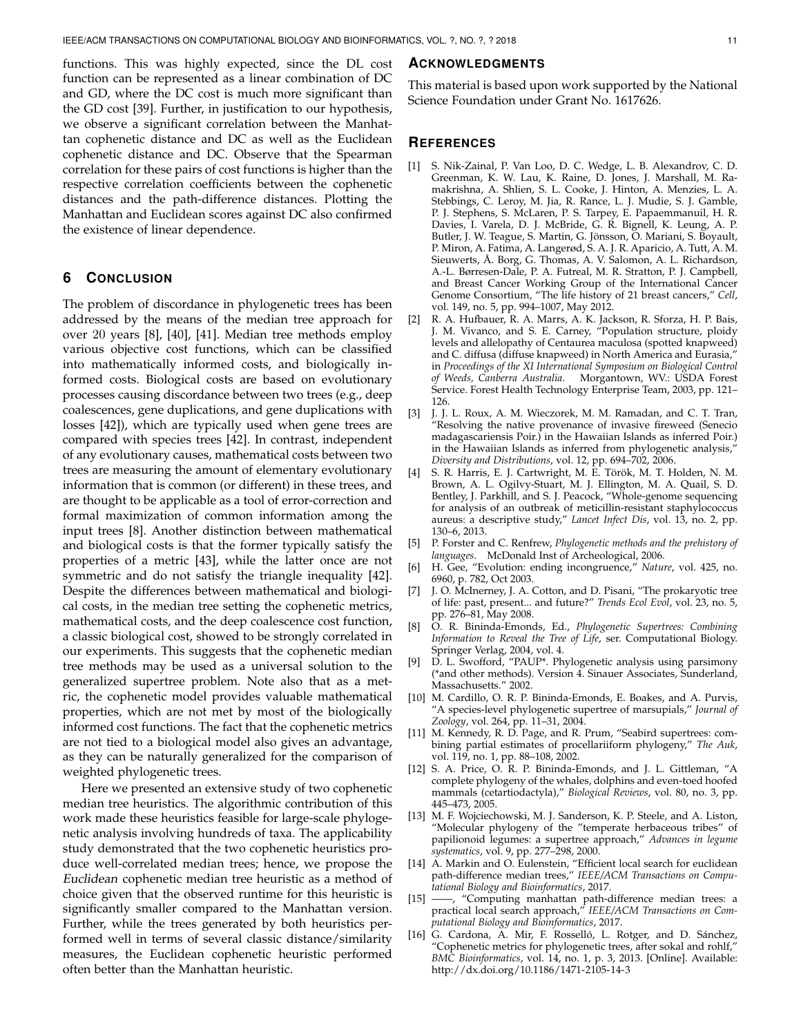functions. This was highly expected, since the DL cost function can be represented as a linear combination of DC and GD, where the DC cost is much more significant than the GD cost [39]. Further, in justification to our hypothesis, we observe a significant correlation between the Manhattan cophenetic distance and DC as well as the Euclidean cophenetic distance and DC. Observe that the Spearman correlation for these pairs of cost functions is higher than the respective correlation coefficients between the cophenetic distances and the path-difference distances. Plotting the Manhattan and Euclidean scores against DC also confirmed the existence of linear dependence.

## **6 CONCLUSION**

The problem of discordance in phylogenetic trees has been addressed by the means of the median tree approach for over 20 years [8], [40], [41]. Median tree methods employ various objective cost functions, which can be classified into mathematically informed costs, and biologically informed costs. Biological costs are based on evolutionary processes causing discordance between two trees (e.g., deep coalescences, gene duplications, and gene duplications with losses [42]), which are typically used when gene trees are compared with species trees [42]. In contrast, independent of any evolutionary causes, mathematical costs between two trees are measuring the amount of elementary evolutionary information that is common (or different) in these trees, and are thought to be applicable as a tool of error-correction and formal maximization of common information among the input trees [8]. Another distinction between mathematical and biological costs is that the former typically satisfy the properties of a metric [43], while the latter once are not symmetric and do not satisfy the triangle inequality [42]. Despite the differences between mathematical and biological costs, in the median tree setting the cophenetic metrics, mathematical costs, and the deep coalescence cost function, a classic biological cost, showed to be strongly correlated in our experiments. This suggests that the cophenetic median tree methods may be used as a universal solution to the generalized supertree problem. Note also that as a metric, the cophenetic model provides valuable mathematical properties, which are not met by most of the biologically informed cost functions. The fact that the cophenetic metrics are not tied to a biological model also gives an advantage, as they can be naturally generalized for the comparison of weighted phylogenetic trees.

Here we presented an extensive study of two cophenetic median tree heuristics. The algorithmic contribution of this work made these heuristics feasible for large-scale phylogenetic analysis involving hundreds of taxa. The applicability study demonstrated that the two cophenetic heuristics produce well-correlated median trees; hence, we propose the Euclidean cophenetic median tree heuristic as a method of choice given that the observed runtime for this heuristic is significantly smaller compared to the Manhattan version. Further, while the trees generated by both heuristics performed well in terms of several classic distance/similarity measures, the Euclidean cophenetic heuristic performed often better than the Manhattan heuristic.

## **ACKNOWLEDGMENTS**

This material is based upon work supported by the National Science Foundation under Grant No. 1617626.

# **REFERENCES**

- [1] S. Nik-Zainal, P. Van Loo, D. C. Wedge, L. B. Alexandrov, C. D. Greenman, K. W. Lau, K. Raine, D. Jones, J. Marshall, M. Ramakrishna, A. Shlien, S. L. Cooke, J. Hinton, A. Menzies, L. A. Stebbings, C. Leroy, M. Jia, R. Rance, L. J. Mudie, S. J. Gamble, P. J. Stephens, S. McLaren, P. S. Tarpey, E. Papaemmanuil, H. R. Davies, I. Varela, D. J. McBride, G. R. Bignell, K. Leung, A. P. Butler, J. W. Teague, S. Martin, G. Jönsson, O. Mariani, S. Boyault, P. Miron, A. Fatima, A. Langerød, S. A. J. R. Aparicio, A. Tutt, A. M. Sieuwerts, Å. Borg, G. Thomas, A. V. Salomon, A. L. Richardson, A.-L. Børresen-Dale, P. A. Futreal, M. R. Stratton, P. J. Campbell, and Breast Cancer Working Group of the International Cancer Genome Consortium, "The life history of 21 breast cancers," *Cell*, vol. 149, no. 5, pp. 994–1007, May 2012.
- [2] R. A. Hufbauer, R. A. Marrs, A. K. Jackson, R. Sforza, H. P. Bais, J. M. Vivanco, and S. E. Carney, "Population structure, ploidy levels and allelopathy of Centaurea maculosa (spotted knapweed) and C. diffusa (diffuse knapweed) in North America and Eurasia," in *Proceedings of the XI International Symposium on Biological Control of Weeds, Canberra Australia*. Morgantown, WV.: USDA Forest Service. Forest Health Technology Enterprise Team, 2003, pp. 121– 126.
- [3] J. J. L. Roux, A. M. Wieczorek, M. M. Ramadan, and C. T. Tran, "Resolving the native provenance of invasive fireweed (Senecio madagascariensis Poir.) in the Hawaiian Islands as inferred Poir.) in the Hawaiian Islands as inferred from phylogenetic analysis," *Diversity and Distributions*, vol. 12, pp. 694–702, 2006.
- [4] S. R. Harris, E. J. Cartwright, M. E. Török, M. T. Holden, N. M. Brown, A. L. Ogilvy-Stuart, M. J. Ellington, M. A. Quail, S. D. Bentley, J. Parkhill, and S. J. Peacock, "Whole-genome sequencing for analysis of an outbreak of meticillin-resistant staphylococcus aureus: a descriptive study," *Lancet Infect Dis*, vol. 13, no. 2, pp. 130–6, 2013.
- [5] P. Forster and C. Renfrew, *Phylogenetic methods and the prehistory of languages*. McDonald Inst of Archeological, 2006.
- [6] H. Gee, "Evolution: ending incongruence," *Nature*, vol. 425, no. 6960, p. 782, Oct 2003.
- [7] J. O. McInerney, J. A. Cotton, and D. Pisani, "The prokaryotic tree of life: past, present... and future?" *Trends Ecol Evol*, vol. 23, no. 5, pp. 276–81, May 2008.
- [8] O. R. Bininda-Emonds, Ed., *Phylogenetic Supertrees: Combining Information to Reveal the Tree of Life*, ser. Computational Biology. Springer Verlag, 2004, vol. 4.
- [9] D. L. Swofford, "PAUP\*. Phylogenetic analysis using parsimony (\*and other methods). Version 4. Sinauer Associates, Sunderland, Massachusetts." 2002.
- [10] M. Cardillo, O. R. P. Bininda-Emonds, E. Boakes, and A. Purvis, "A species-level phylogenetic supertree of marsupials," *Journal of Zoology*, vol. 264, pp. 11–31, 2004.
- [11] M. Kennedy, R. D. Page, and R. Prum, "Seabird supertrees: combining partial estimates of procellariiform phylogeny," *The Auk*, vol. 119, no. 1, pp. 88-108, 2002.
- [12] S. A. Price, O. R. P. Bininda-Emonds, and J. L. Gittleman, "A complete phylogeny of the whales, dolphins and even-toed hoofed mammals (cetartiodactyla)," *Biological Reviews*, vol. 80, no. 3, pp. 445–473, 2005.
- [13] M. F. Wojciechowski, M. J. Sanderson, K. P. Steele, and A. Liston, "Molecular phylogeny of the "temperate herbaceous tribes" of papilionoid legumes: a supertree approach," *Advances in legume systematics*, vol. 9, pp. 277–298, 2000.
- [14] A. Markin and O. Eulenstein, "Efficient local search for euclidean path-difference median trees," *IEEE/ACM Transactions on Computational Biology and Bioinformatics*, 2017.
- [15] ——, "Computing manhattan path-difference median trees: a practical local search approach," *IEEE/ACM Transactions on Computational Biology and Bioinformatics*, 2017.
- [16] G. Cardona, A. Mir, F. Rosselló, L. Rotger, and D. Sánchez, "Cophenetic metrics for phylogenetic trees, after sokal and rohlf," *BMC Bioinformatics*, vol. 14, no. 1, p. 3, 2013. [Online]. Available: http://dx.doi.org/10.1186/1471-2105-14-3